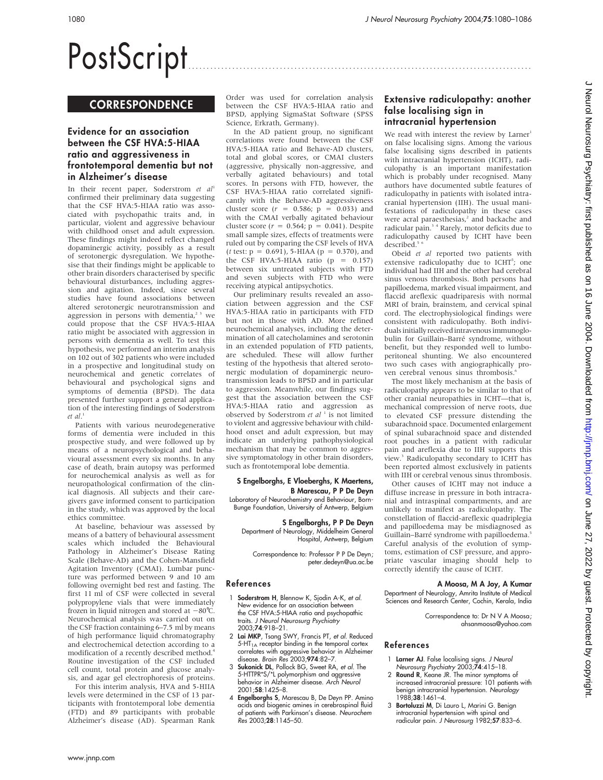# PostScript ..............................................................................................

## **CORRESPONDENCE**

## Evidence for an association between the CSF HVA:5-HIAA ratio and aggressiveness in frontotemporal dementia but not in Alzheimer's disease

In their recent paper, Soderstrom et  $al<sup>1</sup>$ confirmed their preliminary data suggesting that the CSF HVA:5-HIAA ratio was associated with psychopathic traits and, in particular, violent and aggressive behaviour with childhood onset and adult expression. These findings might indeed reflect changed dopaminergic activity, possibly as a result of serotonergic dysregulation. We hypothesise that their findings might be applicable to other brain disorders characterised by specific behavioural disturbances, including aggression and agitation. Indeed, since several studies have found associations between altered serotonergic neurotransmission and aggression in persons with dementia, $2^3$  we could propose that the CSF HVA:5-HIAA ratio might be associated with aggression in persons with dementia as well. To test this hypothesis, we performed an interim analysis on 102 out of 302 patients who were included in a prospective and longitudinal study on neurochemical and genetic correlates of behavioural and psychological signs and symptoms of dementia (BPSD). The data presented further support a general application of the interesting findings of Soderstrom et al. 1

Patients with various neurodegenerative forms of dementia were included in this prospective study, and were followed up by means of a neuropsychological and behavioural assessment every six months. In any case of death, brain autopsy was performed for neurochemical analysis as well as for neuropathological confirmation of the clinical diagnosis. All subjects and their caregivers gave informed consent to participation in the study, which was approved by the local ethics committee.

At baseline, behaviour was assessed by means of a battery of behavioural assessment scales which included the Behavioural Pathology in Alzheimer's Disease Rating Scale (Behave-AD) and the Cohen-Mansfield Agitation Inventory (CMAI). Lumbar puncture was performed between 9 and 10 am following overnight bed rest and fasting. The first 11 ml of CSF were collected in several polypropylene vials that were immediately frozen in liquid nitrogen and stored at  $-80^{\circ}$ C. Neurochemical analysis was carried out on the CSF fraction containing 6–7.5 ml by means of high performance liquid chromatography and electrochemical detection according to a modification of a recently described method.<sup>4</sup> Routine investigation of the CSF included cell count, total protein and glucose analysis, and agar gel electrophoresis of proteins.

For this interim analysis, HVA and 5-HIIA levels were determined in the CSF of 13 participants with frontotemporal lobe dementia (FTD) and 89 participants with probable Alzheimer's disease (AD). Spearman Rank Order was used for correlation analysis between the CSF HVA:5-HIAA ratio and BPSD, applying SigmaStat Software (SPSS Science, Erkrath, Germany).

In the AD patient group, no significant correlations were found between the CSF HVA:5-HIAA ratio and Behave-AD clusters, total and global scores, or CMAI clusters (aggressive, physically non-aggressive, and verbally agitated behaviours) and total scores. In persons with FTD, however, the CSF HVA:5-HIAA ratio correlated significantly with the Behave-AD aggressiveness cluster score ( $r = 0.586$ ;  $p = 0.033$ ) and with the CMAI verbally agitated behaviour cluster score ( $r = 0.564$ ;  $p = 0.041$ ). Despite small sample sizes, effects of treatments were ruled out by comparing the CSF levels of HVA  $(t \text{ test: } p = 0.691)$ , 5-HIAA ( $p = 0.370$ ), and the CSF HVA:5-HIAA ratio  $(p = 0.157)$ between six untreated subjects with FTD and seven subjects with FTD who were receiving atypical antipsychotics.

Our preliminary results revealed an association between aggression and the CSF HVA:5-HIAA ratio in participants with FTD but not in those with AD. More refined neurochemical analyses, including the determination of all catecholamines and serotonin in an extended population of FTD patients, are scheduled. These will allow further testing of the hypothesis that altered serotonergic modulation of dopaminergic neurotransmission leads to BPSD and in particular to aggression. Meanwhile, our findings suggest that the association between the CSF HVA:5-HIAA ratio and aggression as observed by Soderstrom et al  $1$  is not limited to violent and aggressive behaviour with childhood onset and adult expression, but may indicate an underlying pathophysiological mechanism that may be common to aggressive symptomatology in other brain disorders, such as frontotemporal lobe dementia.

#### S Engelborghs, E Vloeberghs, K Maertens, B Marescau, P P De Deyn

Laboratory of Neurochemistry and Behaviour, Born-Bunge Foundation, University of Antwerp, Belgium

S Engelborghs, P P De Deyn

Department of Neurology, Middelheim General Hospital, Antwerp, Belgium

Correspondence to: Professor P P De Deyn; peter.dedeyn@ua.ac.be

## References

- Soderstrom H, Blennow K, Sjodin A-K, et al. New evidence for an association between the CSF HVA:5-HIAA ratio and psychopathic traits. J Neurol Neurosurg Psychiatry 2003;74:918–21.
- 2 Lai MKP, Tsang SWY, Francis PT, et al. Reduced  $5-HT<sub>1A</sub>$  receptor binding in the temporal cortex correlates with aggressive behavior in Alzheimer disease. Brain Res 2003;974:82–7.
- 3 Sukonick DL, Pollock BG, Sweet RA, et al. The 5-HTTPR\*S/\*L polymorphism and aggressive behavior in Alzheimer disease. Arch Neurol 2001;58:1425–8.
- 4 Engelborghs S, Marescau B, De Deyn PP. Amino acids and biogenic amines in cerebrospinal fluid of patients with Parkinson's disease. Neurochem Res 2003;28:1145–50.

## Extensive radiculopathy: another false localising sign in intracranial hypertension

We read with interest the review by Larner<sup>1</sup> on false localising signs. Among the various false localising signs described in patients with intracranial hypertension (ICHT), radiculopathy is an important manifestation which is probably under recognised. Many authors have documented subtle features of radiculopathy in patients with isolated intracranial hypertension (IIH). The usual manifestations of radiculopathy in these cases were acral paraesthesias,<sup>2</sup> and backache and radicular pain.3 4 Rarely, motor deficits due to radiculopathy caused by ICHT have been described.<sup>5</sup> 6

Obeid et al reported two patients with extensive radiculopathy due to ICHT<sup>5</sup>; one individual had IIH and the other had cerebral sinus venous thrombosis. Both persons had papilloedema, marked visual impairment, and flaccid areflexic quadriparesis with normal MRI of brain, brainstem, and cervical spinal cord. The electrophysiological findings were consistent with radiculopathy. Both individuals initially received intravenous immunoglobulin for Guillain–Barré syndrome, without benefit, but they responded well to lumboperitoneal shunting. We also encountered two such cases with angiographically proven cerebral venous sinus thrombosis.

The most likely mechanism at the basis of radiculopathy appears to be similar to that of other cranial neuropathies in ICHT—that is, mechanical compression of nerve roots, due to elevated CSF pressure distending the subarachnoid space. Documented enlargement of spinal subarachnoid space and distended root pouches in a patient with radicular pain and areflexia due to IIH supports this view.3 Radiculopathy secondary to ICHT has been reported almost exclusively in patients with IIH or cerebral venous sinus thrombosis.

Other causes of ICHT may not induce a diffuse increase in pressure in both intracranial and intraspinal compartments, and are unlikely to manifest as radiculopathy. The constellation of flaccid-areflexic quadriplegia and papilloedema may be misdiagnosed as Guillain–Barré syndrome with papilloedema.<sup>5</sup> Careful analysis of the evolution of symptoms, estimation of CSF pressure, and appropriate vascular imaging should help to correctly identify the cause of ICHT.

## A Moosa, M A Joy, A Kumar

Department of Neurology, Amrita Institute of Medical Sciences and Research Center, Cochin, Kerala, India

> Correspondence to: Dr N V A Moosa; ahsanmoosa@yahoo.com

## References

- 1 Larner AJ. False localising signs. J Neurol Neurosurg Psychiatry 2003;74:415–18.
- 2 Round R, Keane JR. The minor symptoms of increased intracranial pressure: 101 patients with benign intracranial hypertension. Neurology 1988;38:1461–4.
- 3 Bortoluzzi M, Di Lauro L, Marini G. Benign intracranial hypertension with spinal and radicular pain. J Neurosurg 1982;57:833–6.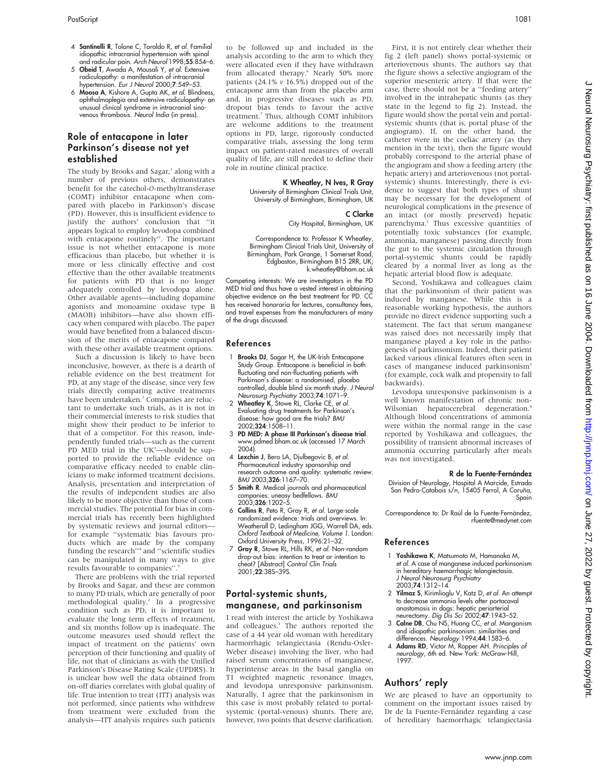- 4 Santinelli R, Tolone C, Toraldo R, et al. Familial idiopathic intracranial hypertension with spinal and radicular pain. Arch Neurol 1998;55:854–6.
- 5 Obeid T, Awada A, Mousali Y, et al. Extensive radiculopathy: a manifestation of intracranial hypertension. Eur J Neurol 2000;7:549–53.
- 6 Moosa A, Kishore A, Gupta AK, et al. Blindness, ophthalmoplegia and extensive radiculopathy- an unusual clinical syndrome in intracranial sinovenous thrombosis. Neurol India (in press).

#### Role of entacapone in later Parkinson's disease not yet established

The study by Brooks and Sagar,<sup>1</sup> along with a number of previous others, demonstrates benefit for the catechol-O-methyltransferase (COMT) inhibitor entacapone when compared with placebo in Parkinson's disease (PD). However, this is insufficient evidence to justify the authors' conclusion that ''it appears logical to employ levodopa combined with entacapone routinely''. The important issue is not whether entacapone is more efficacious than placebo, but whether it is more or less clinically effective and cost effective than the other available treatments for patients with PD that is no longer adequately controlled by levodopa alone. Other available agents—including dopamine agonists and monoamine oxidase type B (MAOB) inhibitors—have also shown efficacy when compared with placebo. The paper would have benefited from a balanced discussion of the merits of entacapone compared with these other available treatment options.

Such a discussion is likely to have been inconclusive, however, as there is a dearth of reliable evidence on the best treatment for PD, at any stage of the disease, since very few trials directly comparing active treatments have been undertaken.<sup>2</sup> Companies are reluctant to undertake such trials, as it is not in their commercial interests to risk studies that might show their product to be inferior to that of a competitor. For this reason, independently funded trials—such as the current PD MED trial in the UK<sup>3</sup>-should be supported to provide the reliable evidence on comparative efficacy needed to enable clinicians to make informed treatment decisions. Analysis, presentation and interpretation of the results of independent studies are also likely to be more objective than those of commercial studies. The potential for bias in commercial trials has recently been highlighted by systematic reviews and journal editors for example ''systematic bias favours products which are made by the company funding the research"<sup>4</sup> and "scientific studies can be manipulated in many ways to give results favourable to companies"

There are problems with the trial reported by Brooks and Sagar, and these are common to many PD trials, which are generally of poor methodological quality.<sup>2</sup> In a progressive condition such as PD, it is important to evaluate the long term effects of treatment, and six months follow up is inadequate. The outcome measures used should reflect the impact of treatment on the patients' own perception of their functioning and quality of life, not that of clinicians as with the Unified Parkinson's Disease Rating Scale (UPDRS). It is unclear how well the data obtained from on-off diaries correlates with global quality of life. True intention to treat (ITT) analysis was not performed, since patients who withdrew from treatment were excluded from the analysis—ITT analysis requires such patients to be followed up and included in the analysis according to the arm to which they were allocated even if they have withdrawn from allocated therapy.<sup>6</sup> Nearly 50% more patients (24.1%  $\nu$  16.5%) dropped out of the entacapone arm than from the placebo arm and, in progressive diseases such as PD, dropout bias tends to favour the active treatment.<sup>7</sup> Thus, although COMT inhibitors are welcome additions to the treatment options in PD, large, rigorously conducted comparative trials, assessing the long term impact on patient-rated measures of overall quality of life, are still needed to define their role in routine clinical practice.

#### K Wheatley, N Ives, R Gray

University of Birmingham Clinical Trials Unit, University of Birmingham, Birmingham, UK

#### C Clarke

City Hospital, Birmingham, UK

Correspondence to: Professor K Wheatley, Birmingham Clinical Trials Unit, University of Birmingham, Park Grange, 1 Somerset Road, Edgbaston, Birmingham B15 2RR, UK; k.wheatley@bham.ac.uk

Competing interests: We are investigators in the PD MED trial and thus have a vested interest in obtaining objective evidence on the best treatment for PD. CC has received honoraria for lectures, consultancy fees, and travel expenses from the manufacturers of many of the drugs discussed.

#### References

- 1 **Brooks DJ**, Sagar H, the UK-Irish Entacapone Study Group. Entacapone is beneficial in both fluctuating and non-fluctuating patients with Parkinson's disease: a randomised, placebo controlled, double blind six month study. J Neurol Neurosurg Psychiatry 2003;74:1071–9.
- 2 Wheatley K, Stowe RL, Clarke CE, et al. Evaluating drug treatments for Parkinson's<br>disease: how good are the trials? *BMJ*<br>2002;**324**:1508–11.
- 3 PD MED: A phase III Parkinson's disease trial. www.pdmed.bham.ac.uk (accessed 17 March  $2004$
- 4 Lexchin J, Bero LA, Djulbegovic B, et al. Pharmaceutical industry sponsorship and research outcome and quality: systematic review. BMJ 2003;326:1167–70.
- 5 Smith R. Medical journals and pharmaceutical companies: uneasy bedfellows. *BMJ*<br>2003;**326**:1202–5.
- 6 Collins R, Peto R, Gray R, et al. Large-scale randomized evidence: trials and overviews. In: Weatherall D, Ledingham JGG, Warrell DA, eds. Oxford Textbook of Medicine, Volume 1. London: Oxford University Press, 1996:21–32.
- 7 Gray R, Stowe RL, Hills RK, et al. Non-random drop-out bias: intention to treat or intention to cheat? [Abstract] Control Clin Trials 2001;22:38S–39S.

#### Portal-systemic shunts, manganese, and parkinsonism

I read with interest the article by Yoshikawa and colleagues.<sup>1</sup> The authors reported the case of a 44 year old woman with hereditary haemorrhagic telangiectasia (Rendu-Osler-Weber disease) involving the liver, who had raised serum concentrations of manganese, hyperintense areas in the basal ganglia on T1 weighted magnetic resonance images, and levodopa unresponsive parkinsonism. Naturally, I agree that the parkinsonism in this case is most probably related to portalsystemic (portal-venous) shunts. There are, however, two points that deserve clarification.

First, it is not entirely clear whether their fig 2 (left panel) shows portal-systemic or arteriovenous shunts. The authors say that the figure shows a selective angiogram of the superior mesenteric artery. If that were the case, there should not be a ''feeding artery'' involved in the intrahepatic shunts (as they state in the legend to fig 2). Instead, the figure would show the portal vein and portalsystemic shunts (that is, portal phase of the angiogram). If, on the other hand, the catheter were in the coeliac artery (as they mention in the text), then the figure would probably correspond to the arterial phase of the angiogram and show a feeding artery (the hepatic artery) and arteriovenous (not portalsystemic) shunts. Interestingly, there is evidence to suggest that both types of shunt may be necessary for the development of neurological complications in the presence of an intact (or mostly preserved) hepatic parenchyma.<sup>2</sup> Thus excessive quantities of potentially toxic substances (for example, ammonia, manganese) passing directly from the gut to the systemic circulation through portal-systemic shunts could be rapidly cleared by a normal liver as long as the hepatic arterial blood flow is adequate.

Second, Yoshikawa and colleagues claim that the parkinsonism of their patient was induced by manganese. While this is a reasonable working hypothesis, the authors provide no direct evidence supporting such a statement. The fact that serum manganese was raised does not necessarily imply that manganese played a key role in the pathogenesis of parkinsonism. Indeed, their patient lacked various clinical features often seen in cases of manganese induced parkinsonism<sup>3</sup> (for example, cock walk and propensity to fall backwards).

Levodopa unresponsive parkinsonism is a well known manifestation of chronic non-Wilsonian hepatocerebral degeneration.<sup>4</sup> Although blood concentrations of ammonia were within the normal range in the case reported by Yoshikawa and colleagues, the possibility of transient abnormal increases of ammonia occurring particularly after meals was not investigated.

#### R de la Fuente-Fernández

Division of Neurology, Hospital A Marcide, Estrada San Pedro-Catabois s/n, 15405 Ferrol, A Coruña, Spain

Correspondence to: Dr Raúl de la Fuente-Fernández, rfuente@medynet.com

#### References

- 1 Yoshikawa K, Matsumoto M, Hamanaka M, et al. A case of manganese induced parkinsonism in hereditary haemorrhagic telangiectasia. J Neurol Neurosurg Psychiatry 2003;74:1312–14.
- 2 Yilmaz S, Kirimlioglu V, Katz D, et al. An attempt to decrease ammonia levels after portacaval anastomosis in dogs: hepatic periarterial neurectomy. Dig Dis Sci 2002;47:1943–52.
- 3 Calne DB, Chu NS, Huang CC, et al. Manganism and idiopathic parkinsonism: similarities and differences. Neurology 1994;44:1583–6.
- 4 Adams RD, Victor M, Ropper AH. Principles of neurology, 6th ed. New York: McGraw-Hill, 1997.

#### Authors' reply

We are pleased to have an opportunity to comment on the important issues raised by Dr de la Fuente-Fernández regarding a case of hereditary haemorrhagic telangiectasia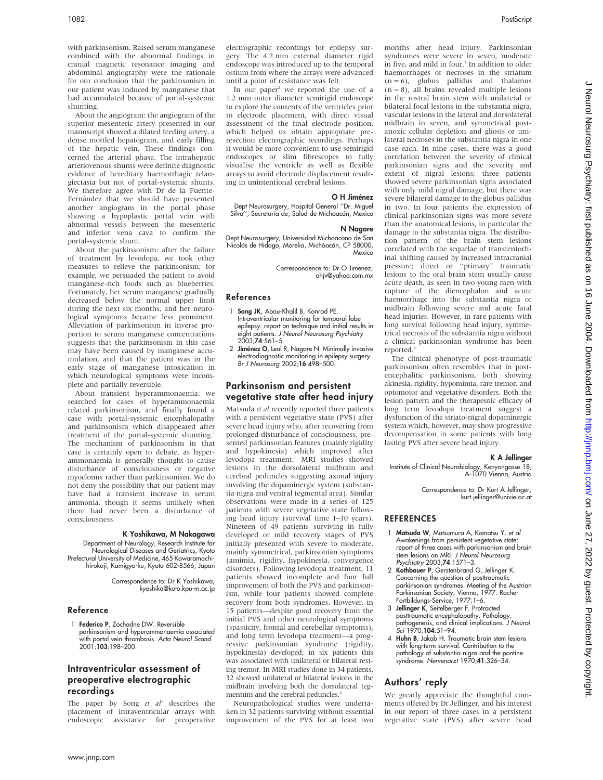with parkinsonism. Raised serum manganese combined with the abnormal findings in cranial magnetic resonance imaging and abdominal angiography were the rationale for our conclusion that the parkinsonism in our patient was induced by manganese that had accumulated because of portal-systemic shunting.

About the angiogram: the angiogram of the superior mesenteric artery presented in our manuscript showed a dilated feeding artery, a dense mottled hepatogram, and early filling of the hepatic vein. These findings concerned the arterial phase. The intrahepatic arteriovenous shunts were definite diagnostic evidence of hereditary haemorrhagic telangiectasia but not of portal-systemic shunts. We therefore agree with Dr de la Fuente-Fernández that we should have presented another angiogram in the portal phase showing a hypoplastic portal vein with abnormal vessels between the mesenteric and inferior vena cava to confirm the portal-systemic shunt.

About the parkinsonism: after the failure of treatment by levodopa, we took other measures to relieve the parkinsonism; for example, we persuaded the patient to avoid manganese-rich foods such as blueberries. Fortunately, her serum manganese gradually decreased below the normal upper limit during the next six months, and her neurological symptoms became less prominent. Alleviation of parkinsonism in inverse proportion to serum manganese concentrations suggests that the parkinsonism in this case may have been caused by manganese accumulation, and that the patient was in the early stage of manganese intoxication in which neurological symptoms were incomplete and partially reversible.

About transient hyperammonaemia: we searched for cases of hyperammonaemia related parkinsonism, and finally found a case with portal-systemic encephalopathy and parkinsonism which disappeared after treatment of the portal-systemic shunting.<sup>1</sup> The mechanism of parkinsonism in that case is certainly open to debate, as hyperammonaemia is generally thought to cause disturbance of consciousness or negative myoclonus rather than parkinsonism. We do not deny the possibility that our patient may have had a transient increase in serum ammonia, though it seems unlikely when there had never been a disturbance of consciousness.

#### K Yoshikawa, M Nakagawa

Department of Neurology, Research Institute for Neurological Diseases and Geriatrics, Kyoto Prefectural University of Medicine, 465 Kawaramachihirokoji, Kamigyo-ku, Kyoto 602-8566, Japan

> Correspondence to: Dr K Yoshikawa, kyoshika@koto.kpu-m.ac.jp

#### Reference

1 Federico P, Zochodne DW. Reversible parkinsonism and hyperammonaemia associated with portal vein thrombosis. Acta Neurol Scand 2001;103:198–200.

#### Intraventricular assessment of preoperative electrographic recordings

The paper by Song  $et$   $al<sup>1</sup>$  describes the placement of intraventricular arrays with endoscopic assistance for preoperative electrographic recordings for epilepsy surgery. The 4.2 mm external diameter rigid endoscope was introduced up to the temporal ostium from where the arrays were advanced until a point of resistance was felt.

In our paper<sup>2</sup> we reported the use of a 1.2 mm outer diameter semirigid endoscope to explore the contents of the ventricles prior to electrode placement, with direct visual assessment of the final electrode position, which helped us obtain appropriate preresection electrographic recordings. Perhaps it would be more convenient to use semirigid endoscopes or slim fibrescopes to fully visualise the ventricle as well as flexible arrays to avoid electrode displacement resulting in unintentional cerebral lesions.

#### O H Jiménez

Dept Neurosurgery, Hospital General ''Dr. Miguel Silva'', Secretaría de, Salud de Michoacán, Mexico

#### N Nagore

Dept Neurosurgery, Universidad Michoacana de San Nicolás de Hidago, Morelia, Michóacán, CP 58000, Mexico

> Correspondence to: Dr O Jimenez, ohjv@yahoo.com.mx

#### References

- Song JK, Abou-Khalil B, Konrad PE. Intraventricular monitoring for temporal lobe epilepsy: report on technique and initial results in eight patients. J Neurol Neurosurg Psychiatry 2003;74:561–5.
- 2 Jiménez O, Leal R, Nagore N. Minimally invasive electrodiagnostic monitoring in epilepsy surgery. Br J Neurosurg 2002;16:498–500.

#### Parkinsonism and persistent vegetative state after head injury

Matsuda et al recently reported three patients with a persistent vegetative state (PVS) after severe head injury who, after recovering from prolonged disturbance of consciousness, presented parkinsonian features (mainly rigidity and hypokinesia) which improved after levodopa treatment.<sup>1</sup> MRI studies showed lesions in the dorsolateral midbrain and cerebral peduncles suggesting axonal injury involving the dopaminergic system (substantia nigra and ventral tegmental area). Similar observations were made in a series of 125 patients with severe vegetative state following head injury (survival time 1–10 years). Nineteen of 49 patients surviving in fully developed or mild recovery stages of PVS initially presented with severe to moderate, mainly symmetrical, parkinsonian symptoms (amimia, rigidity, hypokinesia, convergence disorders). Following levodopa treatment, 11 patients showed incomplete and four full improvement of both the PVS and parkinsonism, while four patients showed complete recovery from both syndromes. However, in 15 patients—despite good recovery from the initial PVS and other neurological symptoms (spasticity, frontal and cerebellar symptoms), and long term levodopa treatment—a progressive parkinsonian syndrome (rigidity, hypokinesia) developed; in six patients this was associated with unilateral or bilateral resting tremor. In MRI studies done in 34 patients, 32 showed unilateral or bilateral lesions in the midbrain involving both the dorsolateral tegmentum and the cerebral peduncles.<sup>2</sup>

Neuropathological studies were undertaken in 32 patients surviving without essential improvement of the PVS for at least two

months after head injury. Parkinsonian syndromes were severe in seven, moderate in five, and mild in four.<sup>3</sup> In addition to older haemorrhages or necroses in the striatum  $(n = 6)$ , globus pallidus and thalamus  $(n = 8)$ , all brains revealed multiple lesions in the rostral brain stem with unilateral or bilateral focal lesions in the substantia nigra, vascular lesions in the lateral and dorsolateral midbrain in seven, and symmetrical postanoxic cellular depletion and gliosis or unilateral necroses in the substantia nigra in one case each. In nine cases, there was a good correlation between the severity of clinical parkinsonian signs and the severity and extent of nigral lesions; three patients showed severe parkinsonian signs associated with only mild nigral damage, but there was severe bilateral damage to the globus pallidus in two. In four patients the expression of clinical parkinsonian signs was more severe than the anatomical lesions, in particular the damage to the substantia nigra. The distribution pattern of the brain stem lesions correlated with the sequelae of transtentorhinal shifting caused by increased intracranial pressure; direct or ''primary'' traumatic lesions to the oral brain stem usually cause acute death, as seen in two young men with rupture of the diencephalon and acute haemorrhage into the substantia nigra or midbrain following severe and acute fatal head injuries. However, in rare patients with long survival following head injury, symmetrical necrosis of the substantia nigra without a clinical parkinsonian syndrome has been reported.4

The clinical phenotype of post-traumatic parkinsonism often resembles that in postencephalitic parkinsonism, both showing akinesia, rigidity, hypomimia, rare tremor, and optomotor and vegetative disorders. Both the lesion pattern and the therapeutic efficacy of long term levodopa treatment suggest a dysfunction of the striato-nigral dopaminergic system which, however, may show progressive decompensation in some patients with long lasting PVS after severe head injury.

#### K A Jellinger

Institute of Clinical Neurobiology, Kenyongasse 18, A-1070 Vienna, Austria

Correspondence to: Dr Kurt A Jellinger, kurt.jellinger@univie.ac.at

#### REFERENCES

- 1 Matsuda W, Matsumura A, Komatsu Y, et al. Awakenings from persistent vegetative state: report of three cases with parkinsonism and brain stem lesions on MRI. J Neurol Neurosurg Psychiatry 2003;74:1571–3.
- 2 Kothbauer P, Gerstenbrand G, Jellinger K. Concerning the question of posttraumatic parkinsonian syndromes. Meeting of the Austrian Parkinsonian Society, Vienna, 1977. Roche-Fortbildungs-Service, 1977:1–6.
- 3 Jellinger K, Seitelberger F. Protracted posttraumatic encephalopathy. Pathology, pathogenesis, and clinical implications. J Neurol Sci 1970;104:51–94.
- 4 Huhn B, Jakob H. Traumatic brain stem lesions with long-term survival. Contribution to the pathology of substantia nigra and the pontine<br>syndrome. N*ervenarzt* 1970;**41**:326–34.

#### Authors' reply

We greatly appreciate the thoughtful comments offered by Dr Jellinger, and his interest in our report of three cases in a persistent vegetative state (PVS) after severe head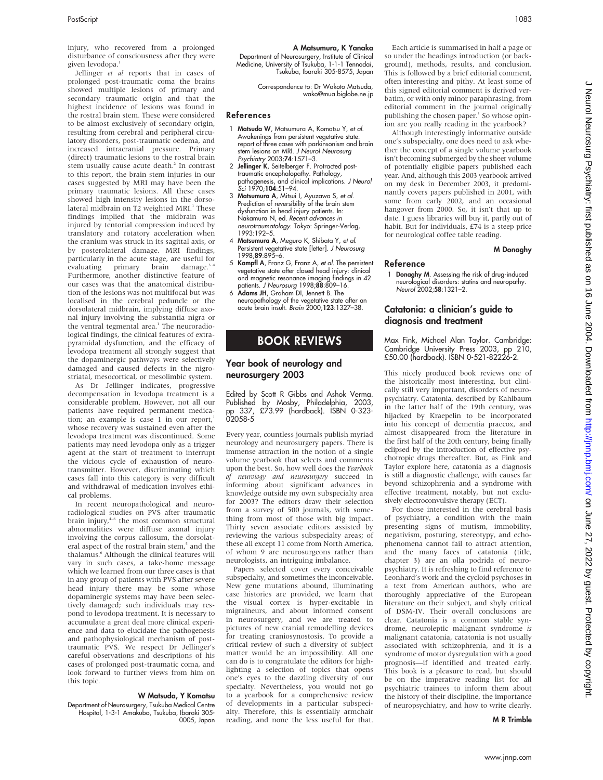injury, who recovered from a prolonged disturbance of consciousness after they were given levodopa.

Jellinger et al reports that in cases of prolonged post-traumatic coma the brains showed multiple lesions of primary and secondary traumatic origin and that the highest incidence of lesions was found in the rostral brain stem. These were considered to be almost exclusively of secondary origin, resulting from cerebral and peripheral circulatory disorders, post-traumatic oedema, and increased intracranial pressure. Primary (direct) traumatic lesions to the rostral brain stem usually cause acute death.<sup>2</sup> In contrast to this report, the brain stem injuries in our cases suggested by MRI may have been the primary traumatic lesions. All these cases showed high intensity lesions in the dorsolateral midbrain on T2 weighted MRI.<sup>1</sup> These findings implied that the midbrain was injured by tentorial compression induced by translatory and rotatory acceleration when the cranium was struck in its sagittal axis, or by posterolateral damage. MRI findings, particularly in the acute stage, are useful for evaluating primary brain damage.<sup>3</sup> Furthermore, another distinctive feature of our cases was that the anatomical distribution of the lesions was not multifocal but was localised in the cerebral peduncle or the dorsolateral midbrain, implying diffuse axonal injury involving the substantia nigra or the ventral tegmental area.<sup>1</sup> The neuroradiological findings, the clinical features of extrapyramidal dysfunction, and the efficacy of levodopa treatment all strongly suggest that the dopaminergic pathways were selectively damaged and caused defects in the nigrostriatal, mesocortical, or mesolimbic system.

As Dr Jellinger indicates, progressive decompensation in levodopa treatment is a considerable problem. However, not all our patients have required permanent medication: an example is case 1 in our report. whose recovery was sustained even after the levodopa treatment was discontinued. Some patients may need levodopa only as a trigger agent at the start of treatment to interrupt the vicious cycle of exhaustion of neurotransmitter. However, discriminating which cases fall into this category is very difficult and withdrawal of medication involves ethical problems.

In recent neuropathological and neuroradiological studies on PVS after traumatic brain injury,<sup>4–6</sup> the most common structural abnormalities were diffuse axonal injury involving the corpus callosum, the dorsolateral aspect of the rostral brain stem,<sup>5</sup> and the thalamus.<sup>6</sup> Although the clinical features will vary in such cases, a take-home message which we learned from our three cases is that in any group of patients with PVS after severe head injury there may be some whose dopaminergic systems may have been selectively damaged; such individuals may respond to levodopa treatment. It is necessary to accumulate a great deal more clinical experience and data to elucidate the pathogenesis and pathophysiological mechanism of posttraumatic PVS. We respect Dr Jellinger's careful observations and descriptions of his cases of prolonged post-traumatic coma, and look forward to further views from him on this topic.

#### W Matsuda, Y Komatsu

Department of Neurosurgery, Tsukuba Medical Centre Hospital, 1-3-1 Amakubo, Tsukuba, Ibaraki 305- 0005, Japan A Matsumura, K Yanaka

Department of Neurosurgery, Institute of Clinical Medicine, University of Tsukuba, 1-1-1 Tennodai, Tsukuba, Ibaraki 305-8575, Japan

> Correspondence to: Dr Wakoto Matsuda, wako@mua.biglobe.ne.jp

#### References

- 1 Matsuda W, Matsumura A, Komatsu Y, et al. Awakenings from persistent vegetative state: report of three cases with parkinsonism and brain stem lesions on MRI. J Neurol Neurosurg Psychiatry 2003;74:1571-3.
- 2 Jellinger K, Seitelberger F. Protracted posttraumatic encephalopathy. Pathology, pathogenesis, and clinical implications. J Neurol Sci 1970;104:51–94.
- 3 Matsumura A, Mitsui I, Ayuzawa S, et al. Prediction of reversibility of the brain stem dysfunction in head injury patients. In: Nakamura N, ed. Recent advances in neurotraumatology. Tokyo: Springer-Verlag, 1993:192–5.
- 4 Matsumura A, Meguro K, Shibata Y, et al. Persistent vegetative state [letter]. J Neurosurg 1998;89:895–6.
- 5 Kampfl A, Franz G, Franz A, et al. The persistent vegetative state after closed head injury: clinical and magnetic resonance imaging findings in 42 patients. J Neurosurg 1998;88:809-16.
- 6 Adams JH, Graham DI, Jennett B. The neuropathology of the vegetative state alter an<br>acute brain insult. *Brain* 2000;**123**:1327–38.

## BOOK REVIEWS

#### Year book of neurology and neurosurgery 2003

Edited by Scott R Gibbs and Ashok Verma. Published by Mosby, Philadelphia, 2003, pp 337, £73.99 (hardback). ISBN 0-323- 02058-5

Every year, countless journals publish myriad neurology and neurosurgery papers. There is immense attraction in the notion of a single volume yearbook that selects and comments upon the best. So, how well does the Yearbook of neurology and neurosurgery succeed in informing about significant advances in knowledge outside my own subspecialty area for 2003? The editors draw their selection from a survey of 500 journals, with something from most of those with big impact. Thirty seven associate editors assisted by reviewing the various subspecialty areas; of these all except 11 come from North America, of whom 9 are neurosurgeons rather than neurologists, an intriguing imbalance.

Papers selected cover every conceivable subspecialty, and sometimes the inconceivable. New gene mutations abound, illuminating case histories are provided, we learn that the visual cortex is hyper-excitable in migraineurs, and about informed consent in neurosurgery, and we are treated to pictures of new cranial remodelling devices for treating craniosynostosis. To provide a critical review of such a diversity of subject matter would be an impossibility. All one can do is to congratulate the editors for highlighting a selection of topics that opens one's eyes to the dazzling diversity of our specialty. Nevertheless, you would not go to a yearbook for a comprehensive review of developments in a particular subspecialty. Therefore, this is essentially armchair reading, and none the less useful for that.

Each article is summarised in half a page or so under the headings introduction (or background), methods, results, and conclusion. This is followed by a brief editorial comment, often interesting and pithy. At least some of this signed editorial comment is derived verbatim, or with only minor paraphrasing, from editorial comment in the journal originally publishing the chosen paper. $\frac{1}{1}$  So whose opinion are you really reading in the yearbook?

Although interestingly informative outside one's subspecialty, one does need to ask whether the concept of a single volume yearbook isn't becoming submerged by the sheer volume of potentially eligible papers published each year. And, although this 2003 yearbook arrived on my desk in December 2003, it predominantly covers papers published in 2001, with some from early 2002, and an occasional hangover from 2000. So, it isn't that up to date. I guess libraries will buy it, partly out of habit. But for individuals, £74 is a steep price for neurological coffee table reading.

#### M Donaghy

#### Reference

1 Donaghy M. Assessing the risk of drug-induced neurological disorders: statins and neuropathy. Neurol 2002;58:1321–2.

#### Catatonia: a clinician's guide to diagnosis and treatment

Max Fink, Michael Alan Taylor. Cambridge: Cambridge University Press 2003, pp 210, £50.00 (hardback). ISBN 0-521-82226-2.

This nicely produced book reviews one of the historically most interesting, but clinically still very important, disorders of neuropsychiatry. Catatonia, described by Kahlbaum in the latter half of the 19th century, was hijacked by Kraepelin to be incorporated into his concept of dementia praecox, and almost disappeared from the literature in the first half of the 20th century, being finally eclipsed by the introduction of effective psychotropic drugs thereafter. But, as Fink and Taylor explore here, catatonia as a diagnosis is still a diagnostic challenge, with causes far beyond schizophrenia and a syndrome with effective treatment, notably, but not exclusively electroconvulsive therapy (ECT).

For those interested in the cerebral basis of psychiatry, a condition with the main presenting signs of mutism, immobility, negativism, posturing, stereotypy, and echophenomena cannot fail to attract attention, and the many faces of catatonia (title, chapter 3) are an olla podrida of neuropsychiatry. It is refreshing to find reference to Leonhard's work and the cycloid psychoses in a text from American authors, who are thoroughly appreciative of the European literature on their subject, and shyly critical of DSM-IV. Their overall conclusions are clear. Catatonia is a common stable syndrome, neuroleptic malignant syndrome is malignant catatonia, catatonia is not usually associated with schizophrenia, and it is a syndrome of motor dysregulation with a good prognosis—if identified and treated early. This book is a pleasure to read, but should be on the imperative reading list for all psychiatric trainees to inform them about the history of their discipline, the importance of neuropsychiatry, and how to write clearly.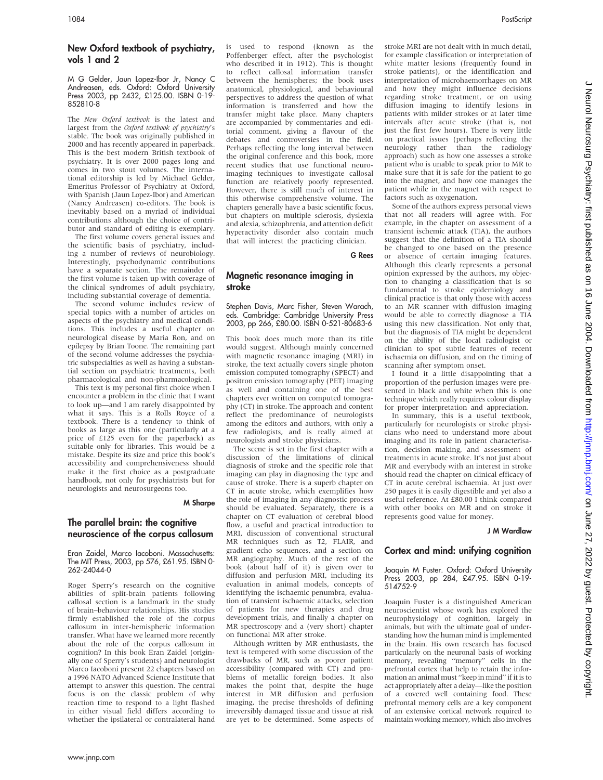## New Oxford textbook of psychiatry, vols 1 and 2

M G Gelder, Jaun Lopez-Ibor Jr, Nancy C Andreasen, eds. Oxford: Oxford University Press 2003, pp 2432, £125.00. ISBN 0-19- 852810-8

The New Oxford textbook is the latest and largest from the Oxford textbook of psychiatry's stable. The book was originally published in 2000 and has recently appeared in paperback. This is the best modern British textbook of psychiatry. It is over 2000 pages long and comes in two stout volumes. The international editorship is led by Michael Gelder, Emeritus Professor of Psychiatry at Oxford, with Spanish (Jaun Lopez-Ibor) and American (Nancy Andreasen) co-editors. The book is inevitably based on a myriad of individual contributions although the choice of contributor and standard of editing is exemplary.

The first volume covers general issues and the scientific basis of psychiatry, including a number of reviews of neurobiology. Interestingly, psychodynamic contributions have a separate section. The remainder of the first volume is taken up with coverage of the clinical syndromes of adult psychiatry, including substantial coverage of dementia.

The second volume includes review of special topics with a number of articles on aspects of the psychiatry and medical conditions. This includes a useful chapter on neurological disease by Maria Ron, and on epilepsy by Brian Toone. The remaining part of the second volume addresses the psychiatric subspecialties as well as having a substantial section on psychiatric treatments, both pharmacological and non-pharmacological.

This text is my personal first choice when I encounter a problem in the clinic that I want to look up—and I am rarely disappointed by what it says. This is a Rolls Royce of a textbook. There is a tendency to think of books as large as this one (particularly at a price of £125 even for the paperback) as suitable only for libraries. This would be a mistake. Despite its size and price this book's accessibility and comprehensiveness should make it the first choice as a postgraduate handbook, not only for psychiatrists but for neurologists and neurosurgeons too.

#### M Sharpe

#### The parallel brain: the cognitive neuroscience of the corpus callosum

Eran Zaidel, Marco Iacoboni. Massachusetts: The MIT Press, 2003, pp 576, £61.95. ISBN 0- 262-24044-0

Roger Sperry's research on the cognitive abilities of split-brain patients following callosal section is a landmark in the study of brain–behaviour relationships. His studies firmly established the role of the corpus callosum in inter-hemispheric information transfer. What have we learned more recently about the role of the corpus callosum in cognition? In this book Eran Zaidel (originally one of Sperry's students) and neurologist Marco Iacoboni present 22 chapters based on a 1996 NATO Advanced Science Institute that attempt to answer this question. The central focus is on the classic problem of why reaction time to respond to a light flashed in either visual field differs according to whether the ipsilateral or contralateral hand is used to respond (known as the Poffenberger effect, after the psychologist who described it in 1912). This is thought to reflect callosal information transfer between the hemispheres; the book uses anatomical, physiological, and behavioural perspectives to address the question of what information is transferred and how the transfer might take place. Many chapters are accompanied by commentaries and editorial comment, giving a flavour of the debates and controversies in the field. Perhaps reflecting the long interval between the original conference and this book, more recent studies that use functional neuroimaging techniques to investigate callosal function are relatively poorly represented. However, there is still much of interest in this otherwise comprehensive volume. The chapters generally have a basic scientific focus, but chapters on multiple sclerosis, dyslexia and alexia, schizophrenia, and attention deficit hyperactivity disorder also contain much that will interest the practicing clinician.

G Rees

#### Magnetic resonance imaging in stroke

Stephen Davis, Marc Fisher, Steven Warach, eds. Cambridge: Cambridge University Press 2003, pp 266, £80.00. ISBN 0-521-80683-6

This book does much more than its title would suggest. Although mainly concerned with magnetic resonance imaging (MRI) in stroke, the text actually covers single photon emission computed tomography (SPECT) and positron emission tomography (PET) imaging as well and containing one of the best chapters ever written on computed tomography (CT) in stroke. The approach and content reflect the predominance of neurologists among the editors and authors, with only a few radiologists, and is really aimed at neurologists and stroke physicians.

The scene is set in the first chapter with a discussion of the limitations of clinical diagnosis of stroke and the specific role that imaging can play in diagnosing the type and cause of stroke. There is a superb chapter on CT in acute stroke, which exemplifies how the role of imaging in any diagnostic process should be evaluated. Separately, there is a chapter on CT evaluation of cerebral blood flow, a useful and practical introduction to MRI, discussion of conventional structural MR techniques such as T2, FLAIR, and gradient echo sequences, and a section on MR angiography. Much of the rest of the book (about half of it) is given over to diffusion and perfusion MRI, including its evaluation in animal models, concepts of identifying the ischaemic penumbra, evaluation of transient ischaemic attacks, selection of patients for new therapies and drug development trials, and finally a chapter on MR spectroscopy and a (very short) chapter on functional MR after stroke.

Although written by MR enthusiasts, the text is tempered with some discussion of the drawbacks of MR, such as poorer patient accessibility (compared with CT) and problems of metallic foreign bodies. It also makes the point that, despite the huge interest in MR diffusion and perfusion imaging, the precise thresholds of defining irreversibly damaged tissue and tissue at risk are yet to be determined. Some aspects of

stroke MRI are not dealt with in much detail, for example classification or interpretation of white matter lesions (frequently found in stroke patients), or the identification and interpretation of microhaemorrhages on MR and how they might influence decisions regarding stroke treatment, or on using diffusion imaging to identify lesions in patients with milder strokes or at later time intervals after acute stroke (that is, not just the first few hours). There is very little on practical issues (perhaps reflecting the neurology rather than the radiology approach) such as how one assesses a stroke patient who is unable to speak prior to MR to make sure that it is safe for the patient to go into the magnet, and how one manages the patient while in the magnet with respect to factors such as oxygenation.

Some of the authors express personal views that not all readers will agree with. For example, in the chapter on assessment of a transient ischemic attack (TIA), the authors suggest that the definition of a TIA should be changed to one based on the presence or absence of certain imaging features. Although this clearly represents a personal opinion expressed by the authors, my objection to changing a classification that is so fundamental to stroke epidemiology and clinical practice is that only those with access to an MR scanner with diffusion imaging would be able to correctly diagnose a TIA using this new classification. Not only that, but the diagnosis of TIA might be dependent on the ability of the local radiologist or clinician to spot subtle features of recent ischaemia on diffusion, and on the timing of scanning after symptom onset.

I found it a little disappointing that a proportion of the perfusion images were presented in black and white when this is one technique which really requires colour display for proper interpretation and appreciation.

In summary, this is a useful textbook, particularly for neurologists or stroke physicians who need to understand more about imaging and its role in patient characterisation, decision making, and assessment of treatments in acute stroke. It's not just about MR and everybody with an interest in stroke should read the chapter on clinical efficacy of CT in acute cerebral ischaemia. At just over 250 pages it is easily digestible and yet also a useful reference. At £80.00 I think compared with other books on MR and on stroke it represents good value for money.

#### J M Wardlaw

#### Cortex and mind: unifying cognition

Joaquin M Fuster. Oxford: Oxford University Press 2003, pp 284, £47.95. ISBN 0-19- 514752-9

Joaquin Fuster is a distinguished American neuroscientist whose work has explored the neurophysiology of cognition, largely in animals, but with the ultimate goal of understanding how the human mind is implemented in the brain. His own research has focused particularly on the neuronal basis of working memory, revealing ''memory'' cells in the prefrontal cortex that help to retain the information an animal must ''keep in mind'' if it is to act appropriately after a delay—like the position of a covered well containing food. These prefrontal memory cells are a key component of an extensive cortical network required to maintain working memory, which also involves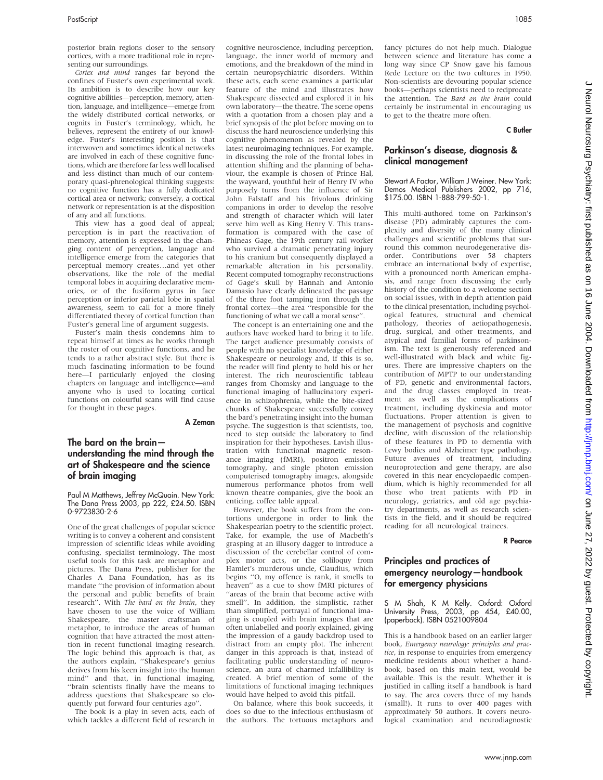Cortex and mind ranges far beyond the confines of Fuster's own experimental work. Its ambition is to describe how our key cognitive abilities—perception, memory, attention, language, and intelligence—emerge from the widely distributed cortical networks, or cognits in Fuster's terminology, which, he believes, represent the entirety of our knowledge. Fuster's interesting position is that interwoven and sometimes identical networks are involved in each of these cognitive functions, which are therefore far less well localised and less distinct than much of our contemporary quasi-phrenological thinking suggests: no cognitive function has a fully dedicated cortical area or network; conversely, a cortical network or representation is at the disposition of any and all functions.

This view has a good deal of appeal; perception is in part the reactivation of memory, attention is expressed in the changing content of perception, language and intelligence emerge from the categories that perceptual memory creates…and yet other observations, like the role of the medial temporal lobes in acquiring declarative memories, or of the fusiform gyrus in face perception or inferior parietal lobe in spatial awareness, seem to call for a more finely differentiated theory of cortical function than Fuster's general line of argument suggests.

Fuster's main thesis condemns him to repeat himself at times as he works through the roster of our cognitive functions, and he tends to a rather abstract style. But there is much fascinating information to be found here—I particularly enjoyed the closing chapters on language and intelligence—and anyone who is used to locating cortical functions on colourful scans will find cause for thought in these pages.

A Zeman

#### The bard on the brain understanding the mind through the art of Shakespeare and the science of brain imaging

#### Paul M Matthews, Jeffrey McQuain. New York: The Dana Press 2003, pp 222, £24.50. ISBN 0-9723830-2-6

One of the great challenges of popular science writing is to convey a coherent and consistent impression of scientific ideas while avoiding confusing, specialist terminology. The most useful tools for this task are metaphor and pictures. The Dana Press, publisher for the Charles A Dana Foundation, has as its mandate ''the provision of information about the personal and public benefits of brain research". With The bard on the brain, they have chosen to use the voice of William Shakespeare, the master craftsman of metaphor, to introduce the areas of human cognition that have attracted the most attention in recent functional imaging research. The logic behind this approach is that, as the authors explain, ''Shakespeare's genius derives from his keen insight into the human mind'' and that, in functional imaging, ''brain scientists finally have the means to address questions that Shakespeare so eloquently put forward four centuries ago''.

The book is a play in seven acts, each of which tackles a different field of research in cognitive neuroscience, including perception, language, the inner world of memory and emotions, and the breakdown of the mind in certain neuropsychiatric disorders. Within these acts, each scene examines a particular feature of the mind and illustrates how Shakespeare dissected and explored it in his own laboratory—the theatre. The scene opens with a quotation from a chosen play and a brief synopsis of the plot before moving on to discuss the hard neuroscience underlying this cognitive phenomenon as revealed by the latest neuroimaging techniques. For example, in discussing the role of the frontal lobes in attention shifting and the planning of behaviour, the example is chosen of Prince Hal, the wayward, youthful heir of Henry IV who purposely turns from the influence of Sir John Falstaff and his frivolous drinking companions in order to develop the resolve and strength of character which will later serve him well as King Henry V. This transformation is compared with the case of Phineas Gage, the 19th century rail worker who survived a dramatic penetrating injury to his cranium but consequently displayed a remarkable alteration in his personality. Recent computed tomography reconstructions of Gage's skull by Hannah and Antonio Damasio have clearly delineated the passage of the three foot tamping iron through the frontal cortex—the area ''responsible for the functioning of what we call a moral sense''.

The concept is an entertaining one and the authors have worked hard to bring it to life. The target audience presumably consists of people with no specialist knowledge of either Shakespeare or neurology and, if this is so, the reader will find plenty to hold his or her interest. The rich neuroscientific tableau ranges from Chomsky and language to the functional imaging of hallucinatory experience in schizophrenia, while the bite-sized chunks of Shakespeare successfully convey the bard's penetrating insight into the human psyche. The suggestion is that scientists, too, need to step outside the laboratory to find inspiration for their hypotheses. Lavish illustration with functional magnetic resonance imaging (fMRI), positron emission tomography, and single photon emission computerised tomography images, alongside numerous performance photos from well known theatre companies, give the book an enticing, coffee table appeal.

However, the book suffers from the contortions undergone in order to link the Shakespearian poetry to the scientific project. Take, for example, the use of Macbeth's grasping at an illusory dagger to introduce a discussion of the cerebellar control of complex motor acts, or the soliloquy from Hamlet's murderous uncle, Claudius, which begins ''O, my offence is rank, it smells to heaven'' as a cue to show fMRI pictures of ''areas of the brain that become active with smell''. In addition, the simplistic, rather than simplified, portrayal of functional imaging is coupled with brain images that are often unlabelled and poorly explained, giving the impression of a gaudy backdrop used to distract from an empty plot. The inherent danger in this approach is that, instead of facilitating public understanding of neuroscience, an aura of charmed infallibility is created. A brief mention of some of the limitations of functional imaging techniques would have helped to avoid this pitfall.

On balance, where this book succeeds, it does so due to the infectious enthusiasm of the authors. The tortuous metaphors and

fancy pictures do not help much. Dialogue between science and literature has come a long way since CP Snow gave his famous Rede Lecture on the two cultures in 1950. Non-scientists are devouring popular science books—perhaps scientists need to reciprocate the attention. The Bard on the brain could certainly be instrumental in encouraging us to get to the theatre more often.

C Butler

#### Parkinson's disease, diagnosis & clinical management

Stewart A Factor, William J Weiner. New York: Demos Medical Publishers 2002, pp 716, \$175.00. ISBN 1-888-799-50-1.

This multi-authored tome on Parkinson's disease (PD) admirably captures the complexity and diversity of the many clinical challenges and scientific problems that surround this common neurodegenerative disorder. Contributions over 58 chapters embrace an international body of expertise, with a pronounced north American emphasis, and range from discussing the early history of the condition to a welcome section on social issues, with in depth attention paid to the clinical presentation, including psychological features, structural and chemical pathology, theories of aetiopathogenesis, drug, surgical, and other treatments, and atypical and familial forms of parkinsonism. The text is generously referenced and well-illustrated with black and white figures. There are impressive chapters on the contribution of MPTP to our understanding of PD, genetic and environmental factors, and the drug classes employed in treatment as well as the complications of treatment, including dyskinesia and motor fluctuations. Proper attention is given to the management of psychosis and cognitive decline, with discussion of the relationship of these features in PD to dementia with Lewy bodies and Alzheimer type pathology. Future avenues of treatment, including neuroprotection and gene therapy, are also covered in this near encyclopaedic compendium, which is highly recommended for all those who treat patients with PD in neurology, geriatrics, and old age psychiatry departments, as well as research scientists in the field, and it should be required reading for all neurological trainees.

R Pearce

## Principles and practices of emergency neurology—handbook for emergency physicians

#### S M Shah, K M Kelly. Oxford: Oxford University Press, 2003, pp 454, £40.00, (paperback). ISBN 0521009804

This is a handbook based on an earlier larger book, Emergency neurology: principles and practice, in response to enquiries from emergency medicine residents about whether a handbook, based on this main text, would be available. This is the result. Whether it is justified in calling itself a handbook is hard to say. The area covers three of my hands (small!). It runs to over 400 pages with approximately 50 authors. It covers neurological examination and neurodiagnostic